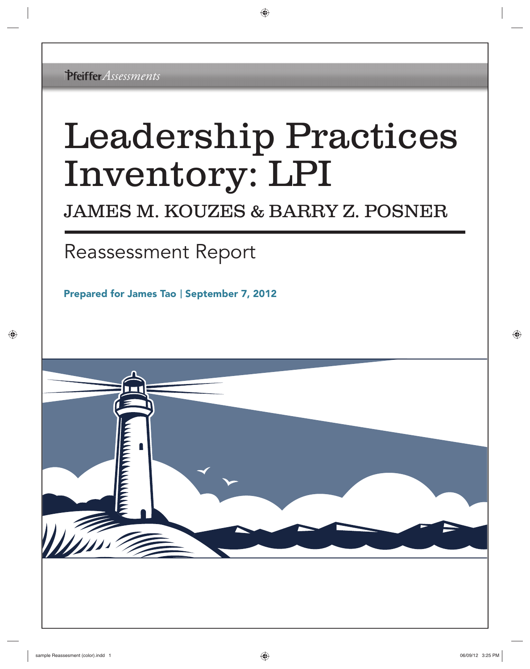# Leadership Practices Inventory: LPI

### JAMES M. KOUZES & BARRY Z. POSNER

## Reassessment Report

Prepared for James Tao | September 7, 2012

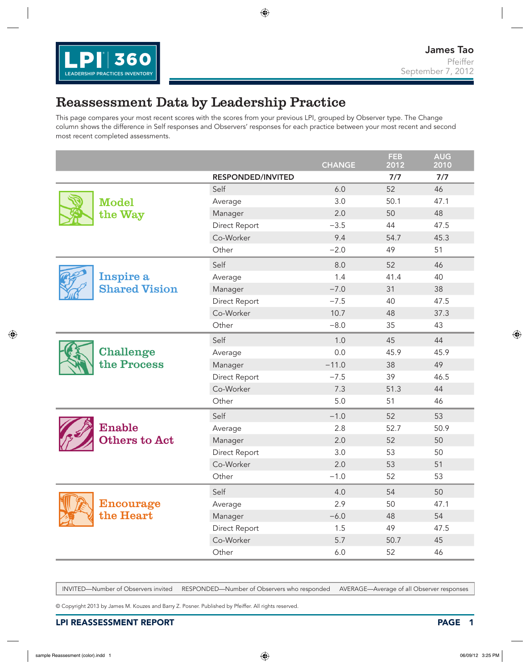

#### Reassessment Data by Leadership Practice

This page compares your most recent scores with the scores from your previous LPI, grouped by Observer type. The Change column shows the difference in Self responses and Observers' responses for each practice between your most recent and second most recent completed assessments.

|                                                                                                                                                                                                                                   |                          | <b>CHANGE</b> | <b>FEB</b><br>2012 | <b>AUG</b><br>2010 |
|-----------------------------------------------------------------------------------------------------------------------------------------------------------------------------------------------------------------------------------|--------------------------|---------------|--------------------|--------------------|
|                                                                                                                                                                                                                                   | <b>RESPONDED/INVITED</b> |               | 7/7                | 7/7                |
|                                                                                                                                                                                                                                   | Self                     | 6.0           | 52                 | 46                 |
| <b>Model</b>                                                                                                                                                                                                                      | Average                  | 3.0           | 50.1               | 47.1               |
| the Way                                                                                                                                                                                                                           | Manager                  | 2.0           | 50                 | 48                 |
|                                                                                                                                                                                                                                   | Direct Report            | $-3.5$        | 44                 | 47.5               |
|                                                                                                                                                                                                                                   | Co-Worker                | 9.4           | 54.7               | 45.3               |
|                                                                                                                                                                                                                                   | Other                    | $-2.0$        | 49                 | 51                 |
|                                                                                                                                                                                                                                   | Self                     | 8.0           | 52                 | 46                 |
| Inspire a                                                                                                                                                                                                                         | Average                  | 1.4           | 41.4               | 40                 |
| <b>Shared Vision</b>                                                                                                                                                                                                              | Manager                  | $-7.0$        | 31                 | 38                 |
|                                                                                                                                                                                                                                   | Direct Report            | $-7.5$        | 40                 | 47.5               |
|                                                                                                                                                                                                                                   | Co-Worker                | 10.7          | 48                 | 37.3               |
|                                                                                                                                                                                                                                   | Other                    | $-8.0$        | 35                 | 43                 |
|                                                                                                                                                                                                                                   | Self                     | 1.0           | 45                 | 44                 |
| <b>Challenge</b>                                                                                                                                                                                                                  | Average                  | 0.0           | 45.9               | 45.9               |
| the Process                                                                                                                                                                                                                       | Manager                  | $-11.0$       | 38                 | 49                 |
|                                                                                                                                                                                                                                   | Direct Report            | $-7.5$        | 39                 | 46.5               |
|                                                                                                                                                                                                                                   | Co-Worker                | 7.3           | 51.3               | 44                 |
|                                                                                                                                                                                                                                   | Other                    | 5.0           | 51                 | 46                 |
|                                                                                                                                                                                                                                   | Self                     | $-1.0$        | 52                 | 53                 |
| <b>Enable</b>                                                                                                                                                                                                                     | Average                  | 2.8           | 52.7               | 50.9               |
| Others to Act                                                                                                                                                                                                                     | Manager                  | 2.0           | 52                 | 50                 |
|                                                                                                                                                                                                                                   | Direct Report            | 3.0           | 53                 | 50                 |
|                                                                                                                                                                                                                                   | Co-Worker                | 2.0           | 53                 | 51                 |
|                                                                                                                                                                                                                                   | Other                    | $-1.0$        | 52                 | 53                 |
| tima ang mga kalendary ang magpakeun ng mga kang ang magparlike na magpalang na magpalang na magpalang na magpa<br>Tagairta ang magpakakanalang na magpakeun na magpakeun na magpakeun na magparang magparang magparang magpapang | Self                     | 4.0           | 54                 | 50                 |
| $\bf{Encoderage}$<br>the Heart                                                                                                                                                                                                    | Average                  | 2.9           | 50                 | 47.1               |
|                                                                                                                                                                                                                                   | Manager                  | $-6.0$        | 48                 | 54                 |
|                                                                                                                                                                                                                                   | Direct Report            | 1.5           | 49                 | 47.5               |
|                                                                                                                                                                                                                                   | Co-Worker                | 5.7           | 50.7               | 45                 |
|                                                                                                                                                                                                                                   | Other                    | $6.0\,$       | 52                 | 46                 |

INVITED—Number of Observers invited RESPONDED—Number of Observers who responded AVERAGE—Average of all Observer responses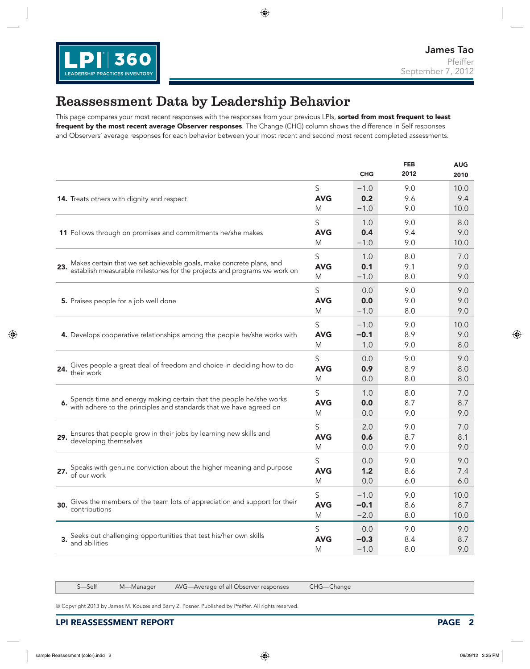

#### Reassessment Data by Leadership Behavior

This page compares your most recent responses with the responses from your previous LPIs, sorted from most frequent to least frequent by the most recent average Observer responses. The Change (CHG) column shows the difference in Self responses and Observers' average responses for each behavior between your most recent and second most recent completed assessments.

|                                                                                                                                          |            | <b>CHG</b> | <b>FEB</b><br>2012 | <b>AUG</b><br>2010 |
|------------------------------------------------------------------------------------------------------------------------------------------|------------|------------|--------------------|--------------------|
| 14. Treats others with dignity and respect                                                                                               | S          | $-1.0$     | 9.0                | 10.0               |
|                                                                                                                                          | <b>AVG</b> | 0.2        | 9.6                | 9.4                |
|                                                                                                                                          | M          | $-1.0$     | 9.0                | 10.0               |
| 11 Follows through on promises and commitments he/she makes                                                                              | S          | 1.0        | 9.0                | 8.0                |
|                                                                                                                                          | <b>AVG</b> | 0.4        | 9.4                | 9.0                |
|                                                                                                                                          | M          | $-1.0$     | 9.0                | 10.0               |
| Makes certain that we set achievable goals, make concrete plans, and                                                                     | S          | 1.0        | 8.0                | 7.0                |
| 23.                                                                                                                                      | <b>AVG</b> | 0.1        | 9.1                | 9.0                |
| establish measurable milestones for the projects and programs we work on                                                                 | M          | $-1.0$     | 8.0                | 9.0                |
| 5. Praises people for a job well done                                                                                                    | S          | 0.0        | 9.0                | 9.0                |
|                                                                                                                                          | <b>AVG</b> | 0.0        | 9.0                | 9.0                |
|                                                                                                                                          | M          | $-1.0$     | 8.0                | 9.0                |
| 4. Develops cooperative relationships among the people he/she works with                                                                 | S          | $-1.0$     | 9.0                | 10.0               |
|                                                                                                                                          | <b>AVG</b> | $-0.1$     | 8.9                | 9.0                |
|                                                                                                                                          | M          | 1.0        | 9.0                | 8.0                |
| Gives people a great deal of freedom and choice in deciding how to do                                                                    | S          | 0.0        | 9.0                | 9.0                |
| 24.                                                                                                                                      | <b>AVG</b> | 0.9        | 8.9                | 8.0                |
| their work                                                                                                                               | M          | 0.0        | 8.0                | 8.0                |
| Spends time and energy making certain that the people he/she works<br>with adhere to the principles and standards that we have agreed on | S          | 1.0        | 8.0                | 7.0                |
|                                                                                                                                          | <b>AVG</b> | 0.0        | 8.7                | 8.7                |
|                                                                                                                                          | M          | 0.0        | 9.0                | 9.0                |
| Ensures that people grow in their jobs by learning new skills and                                                                        | S          | 2.0        | 9.0                | 7.0                |
| 29.                                                                                                                                      | <b>AVG</b> | 0.6        | 8.7                | 8.1                |
| developing themselves                                                                                                                    | M          | 0.0        | 9.0                | 9.0                |
| Speaks with genuine conviction about the higher meaning and purpose of our work                                                          | S          | 0.0        | 9.0                | 9.0                |
|                                                                                                                                          | <b>AVG</b> | 1.2        | 8.6                | 7.4                |
|                                                                                                                                          | M          | 0.0        | 6.0                | 6.0                |
| Gives the members of the team lots of appreciation and support for their                                                                 | S          | $-1.0$     | 9.0                | 10.0               |
| 30.                                                                                                                                      | <b>AVG</b> | $-0.1$     | 8.6                | 8.7                |
| contributions                                                                                                                            | M          | $-2.0$     | 8.0                | 10.0               |
| Seeks out challenging opportunities that test his/her own skills                                                                         | S          | 0.0        | 9.0                | 9.0                |
| 3.                                                                                                                                       | <b>AVG</b> | $-0.3$     | 8.4                | 8.7                |
| and abilities                                                                                                                            | M          | $-1.0$     | 8.0                | 9.0                |

S—Self M—Manager AVG—Average of all Observer responses CHG—Change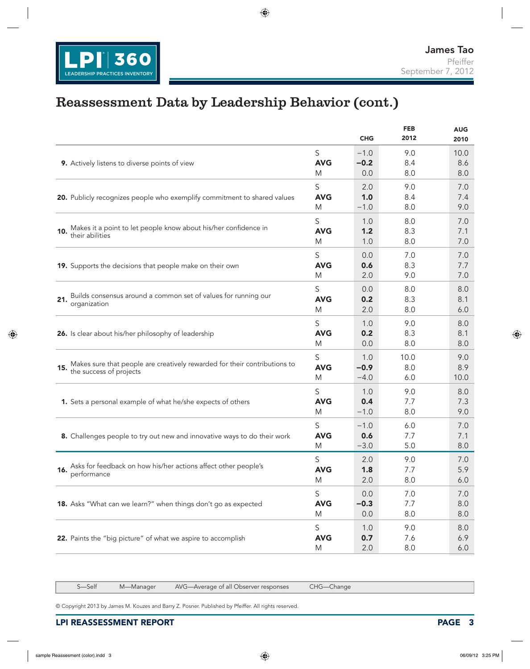

#### Reassessment Data by Leadership Behavior (cont.)

|                                                                                                   |                      | <b>CHG</b>        | <b>FEB</b><br>2012 | <b>AUG</b><br>2010 |
|---------------------------------------------------------------------------------------------------|----------------------|-------------------|--------------------|--------------------|
| 9. Actively listens to diverse points of view                                                     | S                    | $-1.0$            | 9.0                | 10.0               |
|                                                                                                   | <b>AVG</b>           | $-0.2$            | 8.4                | 8.6                |
|                                                                                                   | M                    | 0.0               | 8.0                | 8.0                |
| 20. Publicly recognizes people who exemplify commitment to shared values                          | S                    | 2.0               | 9.0                | 7.0                |
|                                                                                                   | <b>AVG</b>           | 1.0               | 8.4                | 7.4                |
|                                                                                                   | M                    | $-1.0$            | 8.0                | 9.0                |
| Makes it a point to let people know about his/her confidence in<br>their abilities<br>10.         | S<br><b>AVG</b><br>M | 1.0<br>1.2<br>1.0 | 8.0<br>8.3<br>8.0  | 7.0<br>7.1<br>7.0  |
| 19. Supports the decisions that people make on their own                                          | S                    | 0.0               | 7.0                | 7.0                |
|                                                                                                   | <b>AVG</b>           | 0.6               | 8.3                | 7.7                |
|                                                                                                   | M                    | 2.0               | 9.0                | 7.0                |
| Builds consensus around a common set of values for running our                                    | S                    | 0.0               | 8.0                | 8.0                |
| 21.                                                                                               | <b>AVG</b>           | 0.2               | 8.3                | 8.1                |
| organization                                                                                      | M                    | 2.0               | 8.0                | 6.0                |
| 26. Is clear about his/her philosophy of leadership                                               | S                    | 1.0               | 9.0                | 8.0                |
|                                                                                                   | <b>AVG</b>           | 0.2               | 8.3                | 8.1                |
|                                                                                                   | M                    | 0.0               | 8.0                | 8.0                |
| Makes sure that people are creatively rewarded for their contributions to the success of projects | S                    | 1.0               | 10.0               | 9.0                |
|                                                                                                   | <b>AVG</b>           | $-0.9$            | 8.0                | 8.9                |
|                                                                                                   | M                    | $-4.0$            | 6.0                | 10.0               |
| 1. Sets a personal example of what he/she expects of others                                       | S                    | 1.0               | 9.0                | 8.0                |
|                                                                                                   | <b>AVG</b>           | 0.4               | 7.7                | 7.3                |
|                                                                                                   | M                    | $-1.0$            | 8.0                | 9.0                |
| 8. Challenges people to try out new and innovative ways to do their work                          | S                    | $-1.0$            | 6.0                | 7.0                |
|                                                                                                   | <b>AVG</b>           | 0.6               | 7.7                | 7.1                |
|                                                                                                   | M                    | $-3.0$            | 5.0                | 8.0                |
| Asks for feedback on how his/her actions affect other people's                                    | S                    | 2.0               | 9.0                | 7.0                |
| 16.                                                                                               | <b>AVG</b>           | 1.8               | 7.7                | 5.9                |
| performance                                                                                       | M                    | 2.0               | 8.0                | 6.0                |
| 18. Asks "What can we learn?" when things don't go as expected                                    | S                    | 0.0               | 7.0                | 7.0                |
|                                                                                                   | <b>AVG</b>           | $-0.3$            | 7.7                | 8.0                |
|                                                                                                   | M                    | 0.0               | 8.0                | 8.0                |
| 22. Paints the "big picture" of what we aspire to accomplish                                      | S                    | 1.0               | 9.0                | 8.0                |
|                                                                                                   | <b>AVG</b>           | 0.7               | 7.6                | 6.9                |
|                                                                                                   | M                    | 2.0               | 8.0                | 6.0                |

S—Self M—Manager AVG—Average of all Observer responses CHG—Change